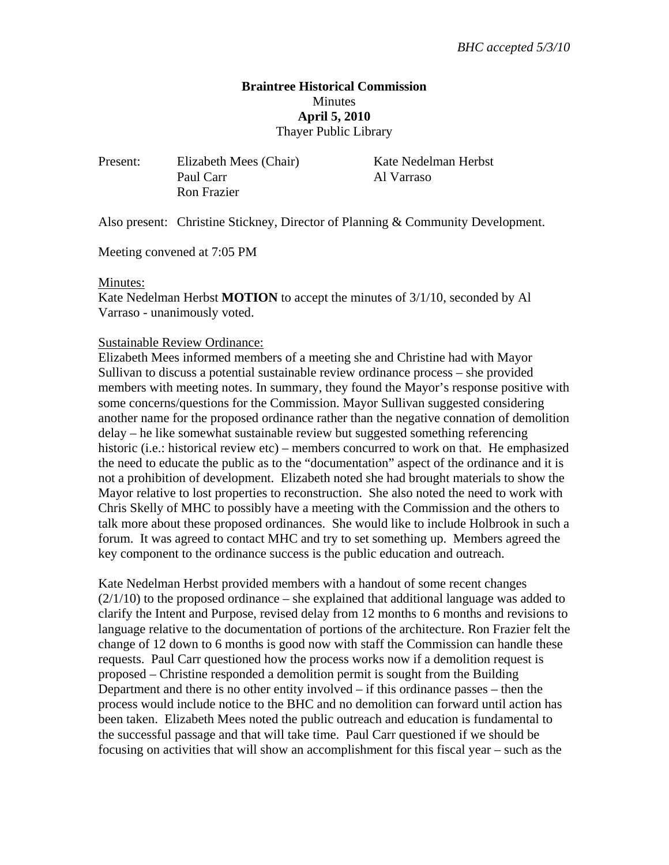## **Braintree Historical Commission Minutes April 5, 2010**  Thayer Public Library

Present: Elizabeth Mees (Chair) Kate Nedelman Herbst Paul Carr Al Varraso Ron Frazier

Also present: Christine Stickney, Director of Planning & Community Development.

Meeting convened at 7:05 PM

#### Minutes:

Kate Nedelman Herbst **MOTION** to accept the minutes of 3/1/10, seconded by Al Varraso - unanimously voted.

#### Sustainable Review Ordinance:

Elizabeth Mees informed members of a meeting she and Christine had with Mayor Sullivan to discuss a potential sustainable review ordinance process – she provided members with meeting notes. In summary, they found the Mayor's response positive with some concerns/questions for the Commission. Mayor Sullivan suggested considering another name for the proposed ordinance rather than the negative connation of demolition delay – he like somewhat sustainable review but suggested something referencing historic (i.e.: historical review etc) – members concurred to work on that. He emphasized the need to educate the public as to the "documentation" aspect of the ordinance and it is not a prohibition of development. Elizabeth noted she had brought materials to show the Mayor relative to lost properties to reconstruction. She also noted the need to work with Chris Skelly of MHC to possibly have a meeting with the Commission and the others to talk more about these proposed ordinances. She would like to include Holbrook in such a forum. It was agreed to contact MHC and try to set something up. Members agreed the key component to the ordinance success is the public education and outreach.

Kate Nedelman Herbst provided members with a handout of some recent changes  $(2/1/10)$  to the proposed ordinance – she explained that additional language was added to clarify the Intent and Purpose, revised delay from 12 months to 6 months and revisions to language relative to the documentation of portions of the architecture. Ron Frazier felt the change of 12 down to 6 months is good now with staff the Commission can handle these requests. Paul Carr questioned how the process works now if a demolition request is proposed – Christine responded a demolition permit is sought from the Building Department and there is no other entity involved  $-$  if this ordinance passes  $-$  then the process would include notice to the BHC and no demolition can forward until action has been taken. Elizabeth Mees noted the public outreach and education is fundamental to the successful passage and that will take time. Paul Carr questioned if we should be focusing on activities that will show an accomplishment for this fiscal year – such as the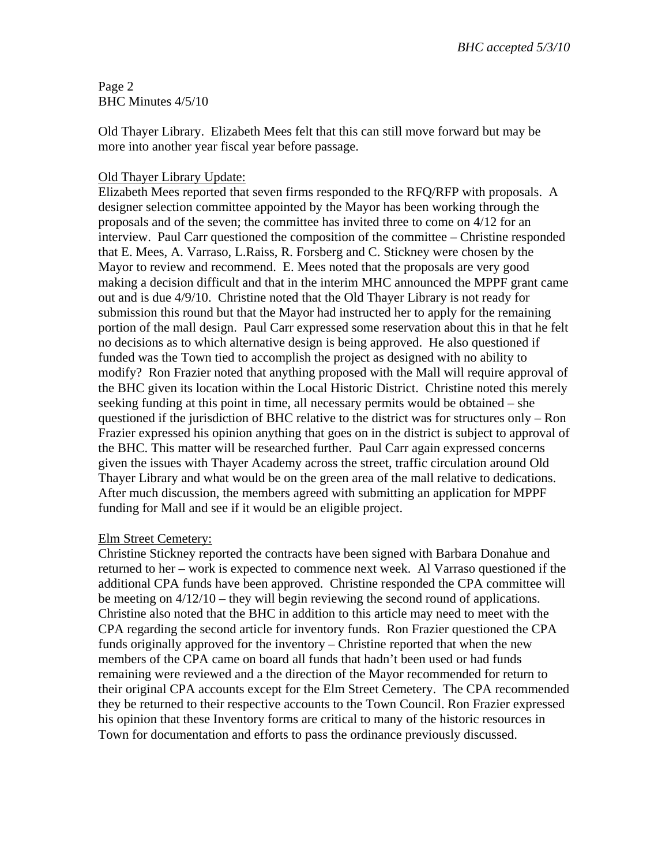Page 2 BHC Minutes 4/5/10

Old Thayer Library. Elizabeth Mees felt that this can still move forward but may be more into another year fiscal year before passage.

## Old Thayer Library Update:

Elizabeth Mees reported that seven firms responded to the RFQ/RFP with proposals. A designer selection committee appointed by the Mayor has been working through the proposals and of the seven; the committee has invited three to come on 4/12 for an interview. Paul Carr questioned the composition of the committee – Christine responded that E. Mees, A. Varraso, L.Raiss, R. Forsberg and C. Stickney were chosen by the Mayor to review and recommend. E. Mees noted that the proposals are very good making a decision difficult and that in the interim MHC announced the MPPF grant came out and is due 4/9/10. Christine noted that the Old Thayer Library is not ready for submission this round but that the Mayor had instructed her to apply for the remaining portion of the mall design. Paul Carr expressed some reservation about this in that he felt no decisions as to which alternative design is being approved. He also questioned if funded was the Town tied to accomplish the project as designed with no ability to modify? Ron Frazier noted that anything proposed with the Mall will require approval of the BHC given its location within the Local Historic District. Christine noted this merely seeking funding at this point in time, all necessary permits would be obtained – she questioned if the jurisdiction of BHC relative to the district was for structures only – Ron Frazier expressed his opinion anything that goes on in the district is subject to approval of the BHC. This matter will be researched further. Paul Carr again expressed concerns given the issues with Thayer Academy across the street, traffic circulation around Old Thayer Library and what would be on the green area of the mall relative to dedications. After much discussion, the members agreed with submitting an application for MPPF funding for Mall and see if it would be an eligible project.

### Elm Street Cemetery:

Christine Stickney reported the contracts have been signed with Barbara Donahue and returned to her – work is expected to commence next week. Al Varraso questioned if the additional CPA funds have been approved. Christine responded the CPA committee will be meeting on 4/12/10 – they will begin reviewing the second round of applications. Christine also noted that the BHC in addition to this article may need to meet with the CPA regarding the second article for inventory funds. Ron Frazier questioned the CPA funds originally approved for the inventory – Christine reported that when the new members of the CPA came on board all funds that hadn't been used or had funds remaining were reviewed and a the direction of the Mayor recommended for return to their original CPA accounts except for the Elm Street Cemetery. The CPA recommended they be returned to their respective accounts to the Town Council. Ron Frazier expressed his opinion that these Inventory forms are critical to many of the historic resources in Town for documentation and efforts to pass the ordinance previously discussed.